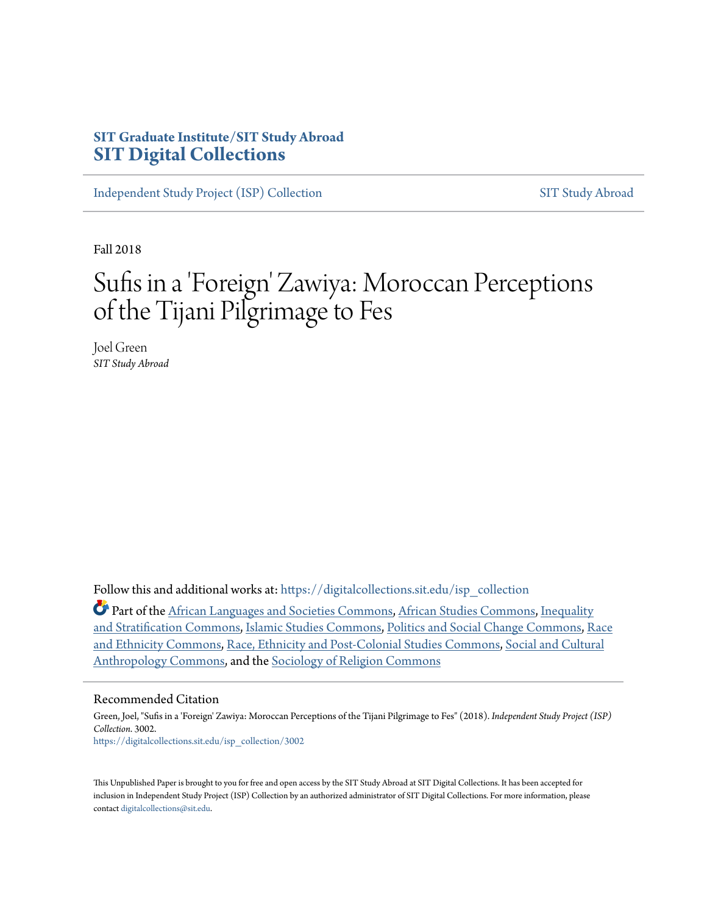# **SIT Graduate Institute/SIT Study Abroad [SIT Digital Collections](https://digitalcollections.sit.edu?utm_source=digitalcollections.sit.edu%2Fisp_collection%2F3002&utm_medium=PDF&utm_campaign=PDFCoverPages)**

[Independent Study Project \(ISP\) Collection](https://digitalcollections.sit.edu/isp_collection?utm_source=digitalcollections.sit.edu%2Fisp_collection%2F3002&utm_medium=PDF&utm_campaign=PDFCoverPages) [SIT Study Abroad](https://digitalcollections.sit.edu/study_abroad?utm_source=digitalcollections.sit.edu%2Fisp_collection%2F3002&utm_medium=PDF&utm_campaign=PDFCoverPages)

Fall 2018

# Sufis in a 'Foreign' Zawiya: Moroccan Perceptions of the Tijani Pilgrimage to Fes

Joel Green *SIT Study Abroad*

Follow this and additional works at: [https://digitalcollections.sit.edu/isp\\_collection](https://digitalcollections.sit.edu/isp_collection?utm_source=digitalcollections.sit.edu%2Fisp_collection%2F3002&utm_medium=PDF&utm_campaign=PDFCoverPages)

Part of the [African Languages and Societies Commons](http://network.bepress.com/hgg/discipline/476?utm_source=digitalcollections.sit.edu%2Fisp_collection%2F3002&utm_medium=PDF&utm_campaign=PDFCoverPages), [African Studies Commons,](http://network.bepress.com/hgg/discipline/1043?utm_source=digitalcollections.sit.edu%2Fisp_collection%2F3002&utm_medium=PDF&utm_campaign=PDFCoverPages) [Inequality](http://network.bepress.com/hgg/discipline/421?utm_source=digitalcollections.sit.edu%2Fisp_collection%2F3002&utm_medium=PDF&utm_campaign=PDFCoverPages) [and Stratification Commons](http://network.bepress.com/hgg/discipline/421?utm_source=digitalcollections.sit.edu%2Fisp_collection%2F3002&utm_medium=PDF&utm_campaign=PDFCoverPages), [Islamic Studies Commons](http://network.bepress.com/hgg/discipline/1346?utm_source=digitalcollections.sit.edu%2Fisp_collection%2F3002&utm_medium=PDF&utm_campaign=PDFCoverPages), [Politics and Social Change Commons,](http://network.bepress.com/hgg/discipline/425?utm_source=digitalcollections.sit.edu%2Fisp_collection%2F3002&utm_medium=PDF&utm_campaign=PDFCoverPages) [Race](http://network.bepress.com/hgg/discipline/426?utm_source=digitalcollections.sit.edu%2Fisp_collection%2F3002&utm_medium=PDF&utm_campaign=PDFCoverPages) [and Ethnicity Commons,](http://network.bepress.com/hgg/discipline/426?utm_source=digitalcollections.sit.edu%2Fisp_collection%2F3002&utm_medium=PDF&utm_campaign=PDFCoverPages) [Race, Ethnicity and Post-Colonial Studies Commons](http://network.bepress.com/hgg/discipline/566?utm_source=digitalcollections.sit.edu%2Fisp_collection%2F3002&utm_medium=PDF&utm_campaign=PDFCoverPages), [Social and Cultural](http://network.bepress.com/hgg/discipline/323?utm_source=digitalcollections.sit.edu%2Fisp_collection%2F3002&utm_medium=PDF&utm_campaign=PDFCoverPages) [Anthropology Commons,](http://network.bepress.com/hgg/discipline/323?utm_source=digitalcollections.sit.edu%2Fisp_collection%2F3002&utm_medium=PDF&utm_campaign=PDFCoverPages) and the [Sociology of Religion Commons](http://network.bepress.com/hgg/discipline/1365?utm_source=digitalcollections.sit.edu%2Fisp_collection%2F3002&utm_medium=PDF&utm_campaign=PDFCoverPages)

#### Recommended Citation

Green, Joel, "Sufis in a 'Foreign' Zawiya: Moroccan Perceptions of the Tijani Pilgrimage to Fes" (2018). *Independent Study Project (ISP) Collection*. 3002. [https://digitalcollections.sit.edu/isp\\_collection/3002](https://digitalcollections.sit.edu/isp_collection/3002?utm_source=digitalcollections.sit.edu%2Fisp_collection%2F3002&utm_medium=PDF&utm_campaign=PDFCoverPages)

This Unpublished Paper is brought to you for free and open access by the SIT Study Abroad at SIT Digital Collections. It has been accepted for inclusion in Independent Study Project (ISP) Collection by an authorized administrator of SIT Digital Collections. For more information, please contact [digitalcollections@sit.edu](mailto:digitalcollections@sit.edu).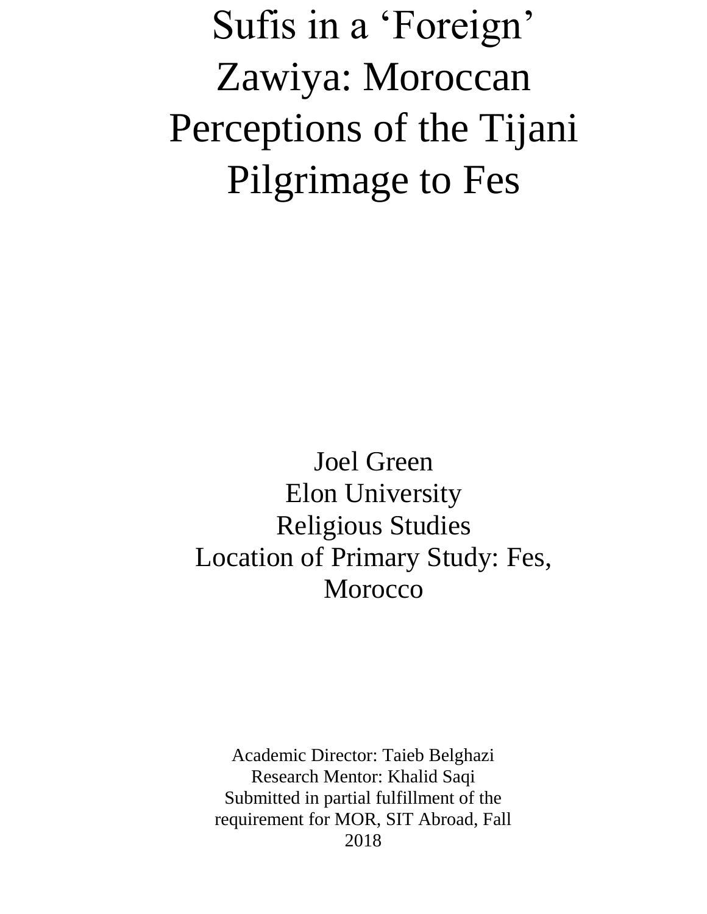Sufis in a 'Foreign' Zawiya: Moroccan Perceptions of the Tijani Pilgrimage to Fes

Joel Green Elon University Religious Studies Location of Primary Study: Fes, Morocco

Academic Director: Taieb Belghazi Research Mentor: Khalid Saqi Submitted in partial fulfillment of the requirement for MOR, SIT Abroad, Fall 2018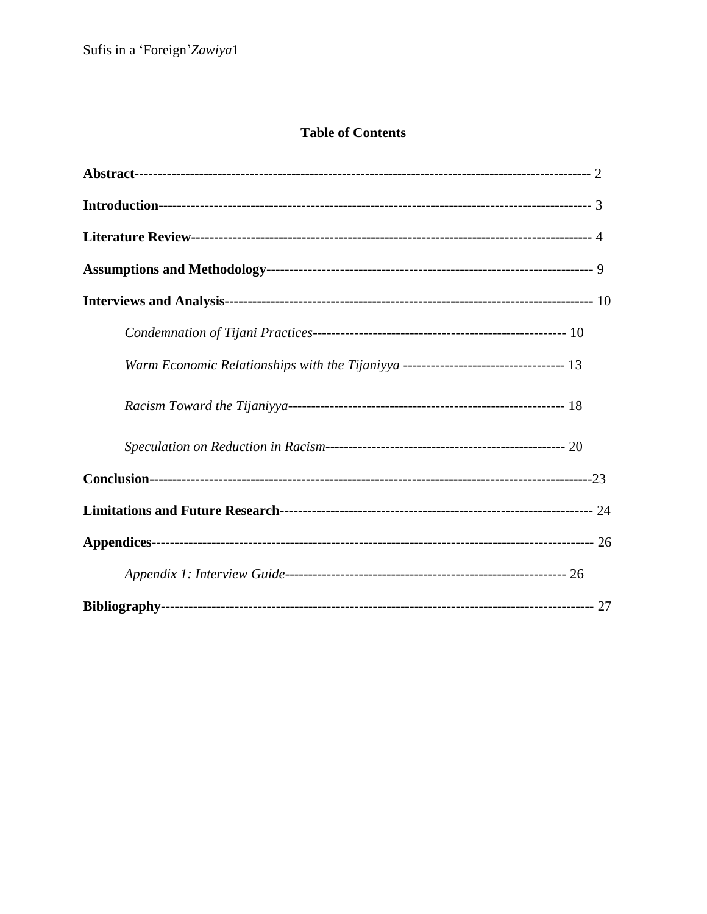# **Table of Contents**

| Warm Economic Relationships with the Tijaniyya ---------------------------------- 13 |
|--------------------------------------------------------------------------------------|
|                                                                                      |
|                                                                                      |
|                                                                                      |
|                                                                                      |
|                                                                                      |
|                                                                                      |
|                                                                                      |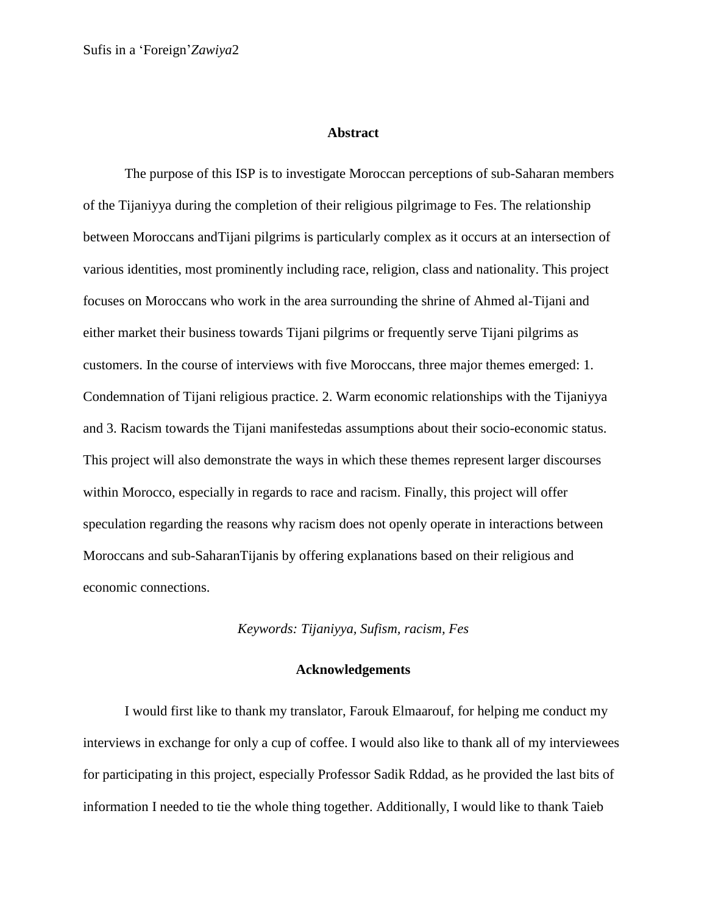#### **Abstract**

The purpose of this ISP is to investigate Moroccan perceptions of sub-Saharan members of the Tijaniyya during the completion of their religious pilgrimage to Fes. The relationship between Moroccans andTijani pilgrims is particularly complex as it occurs at an intersection of various identities, most prominently including race, religion, class and nationality. This project focuses on Moroccans who work in the area surrounding the shrine of Ahmed al-Tijani and either market their business towards Tijani pilgrims or frequently serve Tijani pilgrims as customers. In the course of interviews with five Moroccans, three major themes emerged: 1. Condemnation of Tijani religious practice. 2. Warm economic relationships with the Tijaniyya and 3. Racism towards the Tijani manifestedas assumptions about their socio-economic status. This project will also demonstrate the ways in which these themes represent larger discourses within Morocco, especially in regards to race and racism. Finally, this project will offer speculation regarding the reasons why racism does not openly operate in interactions between Moroccans and sub-SaharanTijanis by offering explanations based on their religious and economic connections.

## *Keywords: Tijaniyya, Sufism, racism, Fes*

## **Acknowledgements**

I would first like to thank my translator, Farouk Elmaarouf, for helping me conduct my interviews in exchange for only a cup of coffee. I would also like to thank all of my interviewees for participating in this project, especially Professor Sadik Rddad, as he provided the last bits of information I needed to tie the whole thing together. Additionally, I would like to thank Taieb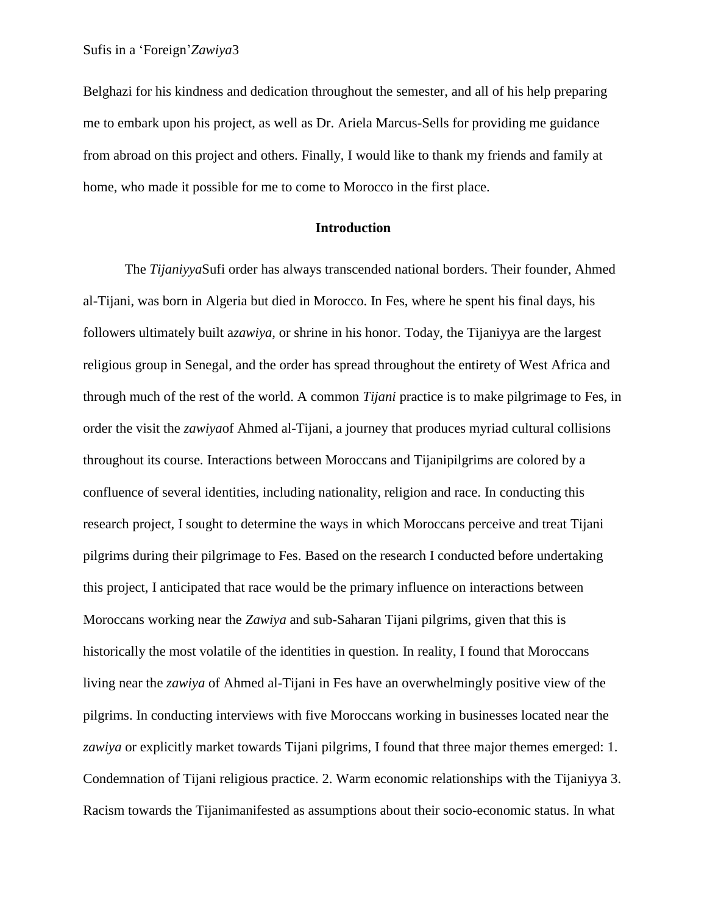Belghazi for his kindness and dedication throughout the semester, and all of his help preparing me to embark upon his project, as well as Dr. Ariela Marcus-Sells for providing me guidance from abroad on this project and others. Finally, I would like to thank my friends and family at home, who made it possible for me to come to Morocco in the first place.

## **Introduction**

The *Tijaniyya*Sufi order has always transcended national borders. Their founder, Ahmed al-Tijani, was born in Algeria but died in Morocco. In Fes, where he spent his final days, his followers ultimately built a*zawiya,* or shrine in his honor. Today, the Tijaniyya are the largest religious group in Senegal, and the order has spread throughout the entirety of West Africa and through much of the rest of the world. A common *Tijani* practice is to make pilgrimage to Fes, in order the visit the *zawiya*of Ahmed al-Tijani, a journey that produces myriad cultural collisions throughout its course. Interactions between Moroccans and Tijanipilgrims are colored by a confluence of several identities, including nationality, religion and race. In conducting this research project, I sought to determine the ways in which Moroccans perceive and treat Tijani pilgrims during their pilgrimage to Fes. Based on the research I conducted before undertaking this project, I anticipated that race would be the primary influence on interactions between Moroccans working near the *Zawiya* and sub-Saharan Tijani pilgrims, given that this is historically the most volatile of the identities in question. In reality, I found that Moroccans living near the *zawiya* of Ahmed al-Tijani in Fes have an overwhelmingly positive view of the pilgrims. In conducting interviews with five Moroccans working in businesses located near the *zawiya* or explicitly market towards Tijani pilgrims, I found that three major themes emerged: 1. Condemnation of Tijani religious practice. 2. Warm economic relationships with the Tijaniyya 3. Racism towards the Tijanimanifested as assumptions about their socio-economic status. In what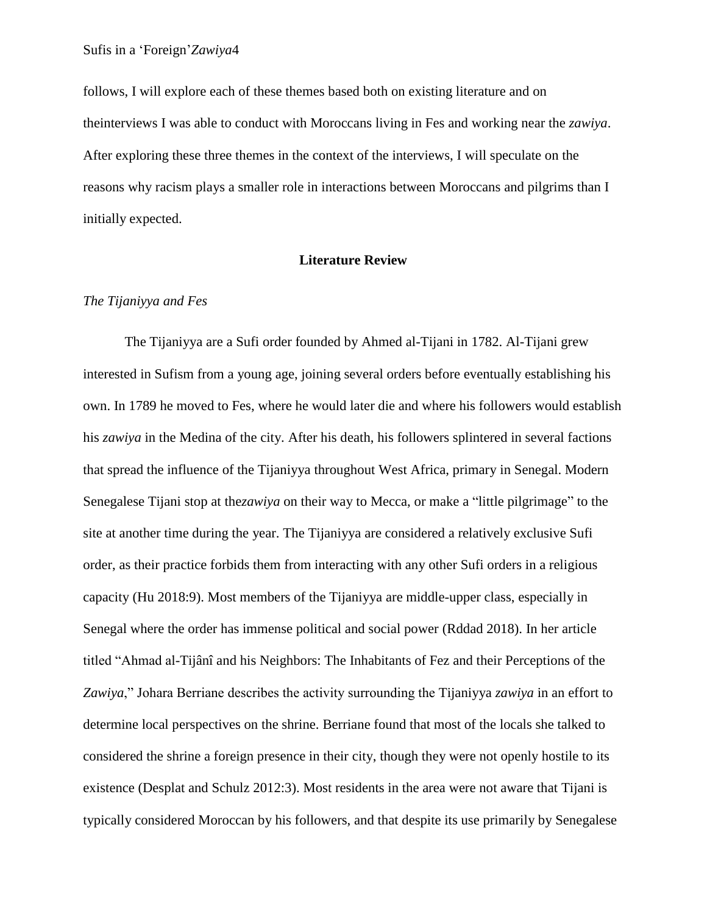follows, I will explore each of these themes based both on existing literature and on theinterviews I was able to conduct with Moroccans living in Fes and working near the *zawiya*. After exploring these three themes in the context of the interviews, I will speculate on the reasons why racism plays a smaller role in interactions between Moroccans and pilgrims than I initially expected.

# **Literature Review**

#### *The Tijaniyya and Fes*

The Tijaniyya are a Sufi order founded by Ahmed al-Tijani in 1782. Al-Tijani grew interested in Sufism from a young age, joining several orders before eventually establishing his own. In 1789 he moved to Fes, where he would later die and where his followers would establish his *zawiya* in the Medina of the city. After his death, his followers splintered in several factions that spread the influence of the Tijaniyya throughout West Africa, primary in Senegal. Modern Senegalese Tijani stop at the*zawiya* on their way to Mecca, or make a "little pilgrimage" to the site at another time during the year. The Tijaniyya are considered a relatively exclusive Sufi order, as their practice forbids them from interacting with any other Sufi orders in a religious capacity (Hu 2018:9). Most members of the Tijaniyya are middle-upper class, especially in Senegal where the order has immense political and social power (Rddad 2018). In her article titled "Ahmad al-Tijânî and his Neighbors: The Inhabitants of Fez and their Perceptions of the *Zawiya*," Johara Berriane describes the activity surrounding the Tijaniyya *zawiya* in an effort to determine local perspectives on the shrine. Berriane found that most of the locals she talked to considered the shrine a foreign presence in their city, though they were not openly hostile to its existence (Desplat and Schulz 2012:3). Most residents in the area were not aware that Tijani is typically considered Moroccan by his followers, and that despite its use primarily by Senegalese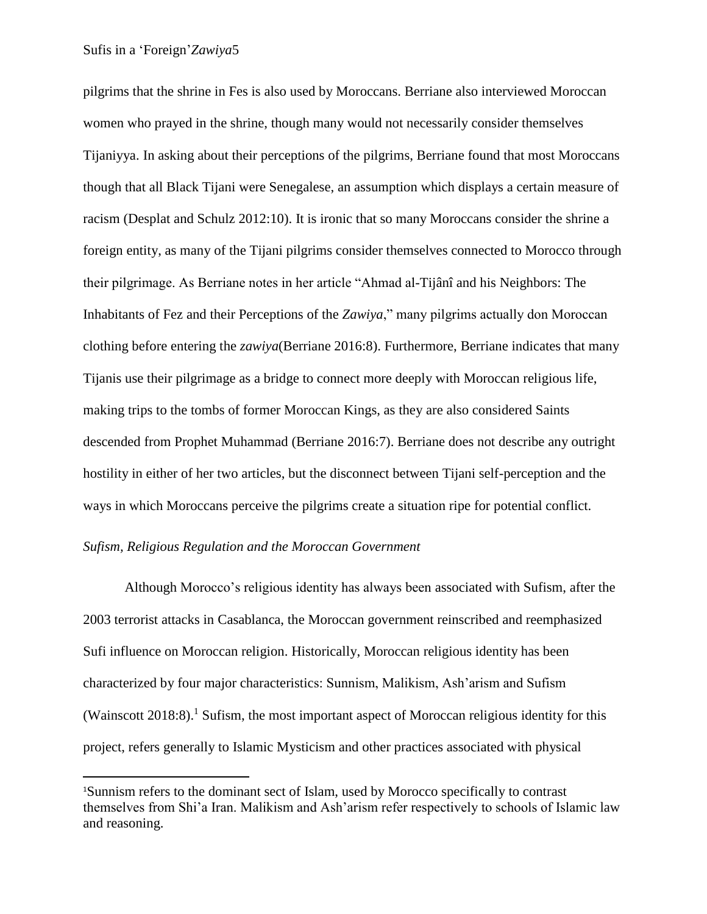pilgrims that the shrine in Fes is also used by Moroccans. Berriane also interviewed Moroccan women who prayed in the shrine, though many would not necessarily consider themselves Tijaniyya. In asking about their perceptions of the pilgrims, Berriane found that most Moroccans though that all Black Tijani were Senegalese, an assumption which displays a certain measure of racism (Desplat and Schulz 2012:10). It is ironic that so many Moroccans consider the shrine a foreign entity, as many of the Tijani pilgrims consider themselves connected to Morocco through their pilgrimage. As Berriane notes in her article "Ahmad al-Tijânî and his Neighbors: The Inhabitants of Fez and their Perceptions of the *Zawiya*," many pilgrims actually don Moroccan clothing before entering the *zawiya*(Berriane 2016:8). Furthermore, Berriane indicates that many Tijanis use their pilgrimage as a bridge to connect more deeply with Moroccan religious life, making trips to the tombs of former Moroccan Kings, as they are also considered Saints descended from Prophet Muhammad (Berriane 2016:7). Berriane does not describe any outright hostility in either of her two articles, but the disconnect between Tijani self-perception and the ways in which Moroccans perceive the pilgrims create a situation ripe for potential conflict.

# *Sufism, Religious Regulation and the Moroccan Government*

 $\overline{\phantom{a}}$ 

Although Morocco's religious identity has always been associated with Sufism, after the 2003 terrorist attacks in Casablanca, the Moroccan government reinscribed and reemphasized Sufi influence on Moroccan religion. Historically, Moroccan religious identity has been characterized by four major characteristics: Sunnism, Malikism, Ash'arism and Sufism (Wainscott 2018:8). <sup>1</sup> Sufism, the most important aspect of Moroccan religious identity for this project, refers generally to Islamic Mysticism and other practices associated with physical

<sup>1</sup>Sunnism refers to the dominant sect of Islam, used by Morocco specifically to contrast themselves from Shi'a Iran. Malikism and Ash'arism refer respectively to schools of Islamic law and reasoning.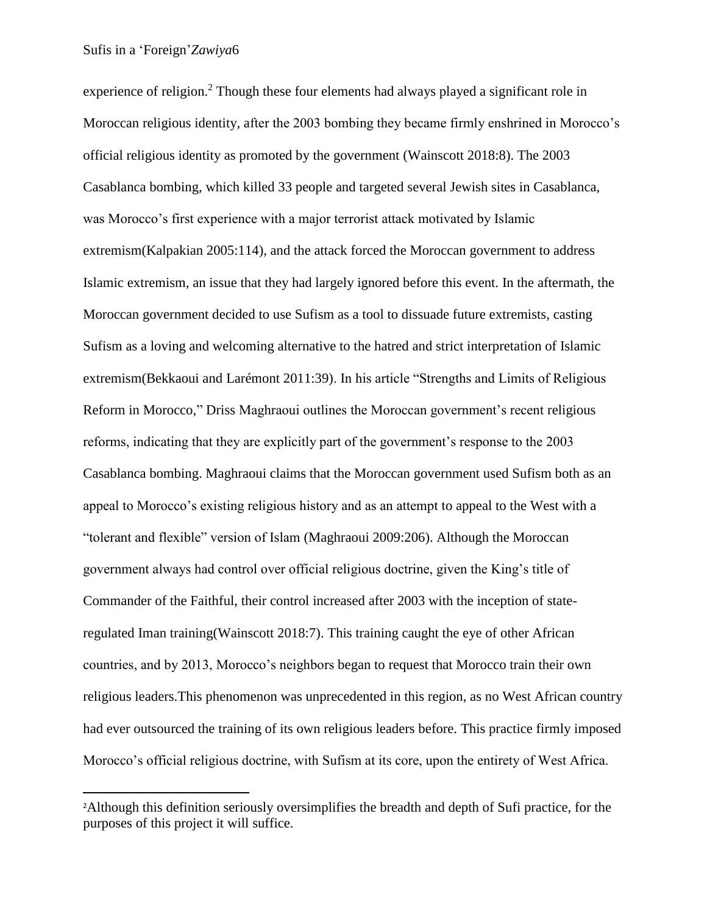$\overline{\phantom{a}}$ 

experience of religion.<sup>2</sup> Though these four elements had always played a significant role in Moroccan religious identity, after the 2003 bombing they became firmly enshrined in Morocco's official religious identity as promoted by the government (Wainscott 2018:8). The 2003 Casablanca bombing, which killed 33 people and targeted several Jewish sites in Casablanca, was Morocco's first experience with a major terrorist attack motivated by Islamic extremism(Kalpakian 2005:114), and the attack forced the Moroccan government to address Islamic extremism, an issue that they had largely ignored before this event. In the aftermath, the Moroccan government decided to use Sufism as a tool to dissuade future extremists, casting Sufism as a loving and welcoming alternative to the hatred and strict interpretation of Islamic extremism(Bekkaoui and Larémont 2011:39). In his article "Strengths and Limits of Religious Reform in Morocco," Driss Maghraoui outlines the Moroccan government's recent religious reforms, indicating that they are explicitly part of the government's response to the 2003 Casablanca bombing. Maghraoui claims that the Moroccan government used Sufism both as an appeal to Morocco's existing religious history and as an attempt to appeal to the West with a "tolerant and flexible" version of Islam (Maghraoui 2009:206). Although the Moroccan government always had control over official religious doctrine, given the King's title of Commander of the Faithful, their control increased after 2003 with the inception of stateregulated Iman training(Wainscott 2018:7). This training caught the eye of other African countries, and by 2013, Morocco's neighbors began to request that Morocco train their own religious leaders.This phenomenon was unprecedented in this region, as no West African country had ever outsourced the training of its own religious leaders before. This practice firmly imposed Morocco's official religious doctrine, with Sufism at its core, upon the entirety of West Africa.

<sup>2</sup>Although this definition seriously oversimplifies the breadth and depth of Sufi practice, for the purposes of this project it will suffice.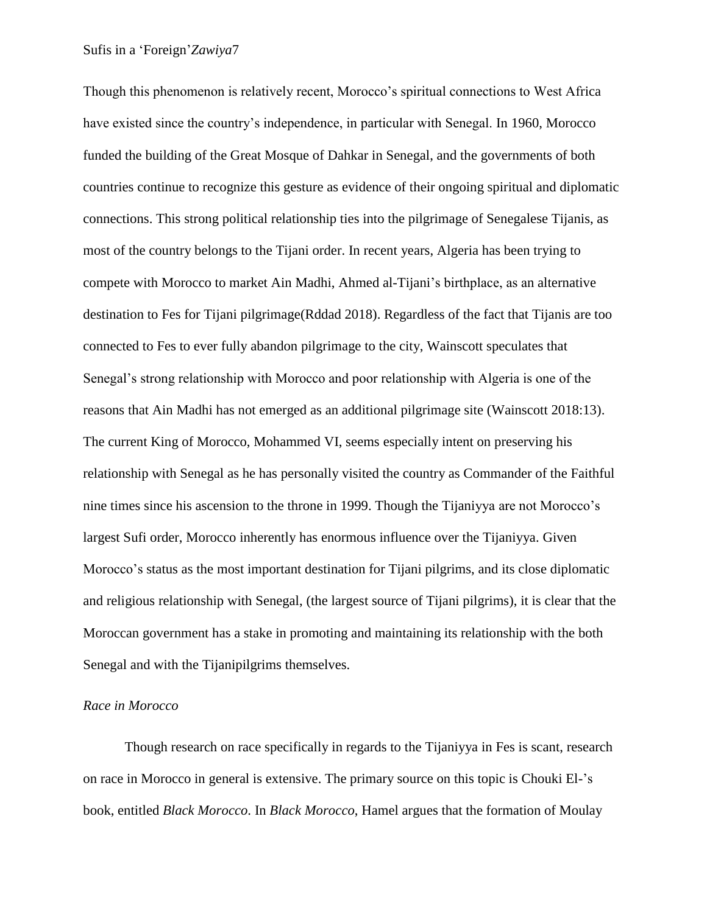Though this phenomenon is relatively recent, Morocco's spiritual connections to West Africa have existed since the country's independence, in particular with Senegal. In 1960, Morocco funded the building of the Great Mosque of Dahkar in Senegal, and the governments of both countries continue to recognize this gesture as evidence of their ongoing spiritual and diplomatic connections. This strong political relationship ties into the pilgrimage of Senegalese Tijanis, as most of the country belongs to the Tijani order. In recent years, Algeria has been trying to compete with Morocco to market Ain Madhi, Ahmed al-Tijani's birthplace, as an alternative destination to Fes for Tijani pilgrimage(Rddad 2018). Regardless of the fact that Tijanis are too connected to Fes to ever fully abandon pilgrimage to the city, Wainscott speculates that Senegal's strong relationship with Morocco and poor relationship with Algeria is one of the reasons that Ain Madhi has not emerged as an additional pilgrimage site (Wainscott 2018:13). The current King of Morocco, Mohammed VI, seems especially intent on preserving his relationship with Senegal as he has personally visited the country as Commander of the Faithful nine times since his ascension to the throne in 1999. Though the Tijaniyya are not Morocco's largest Sufi order, Morocco inherently has enormous influence over the Tijaniyya. Given Morocco's status as the most important destination for Tijani pilgrims, and its close diplomatic and religious relationship with Senegal, (the largest source of Tijani pilgrims), it is clear that the Moroccan government has a stake in promoting and maintaining its relationship with the both Senegal and with the Tijanipilgrims themselves.

#### *Race in Morocco*

Though research on race specifically in regards to the Tijaniyya in Fes is scant, research on race in Morocco in general is extensive. The primary source on this topic is Chouki El-'s book, entitled *Black Morocco*. In *Black Morocco*, Hamel argues that the formation of Moulay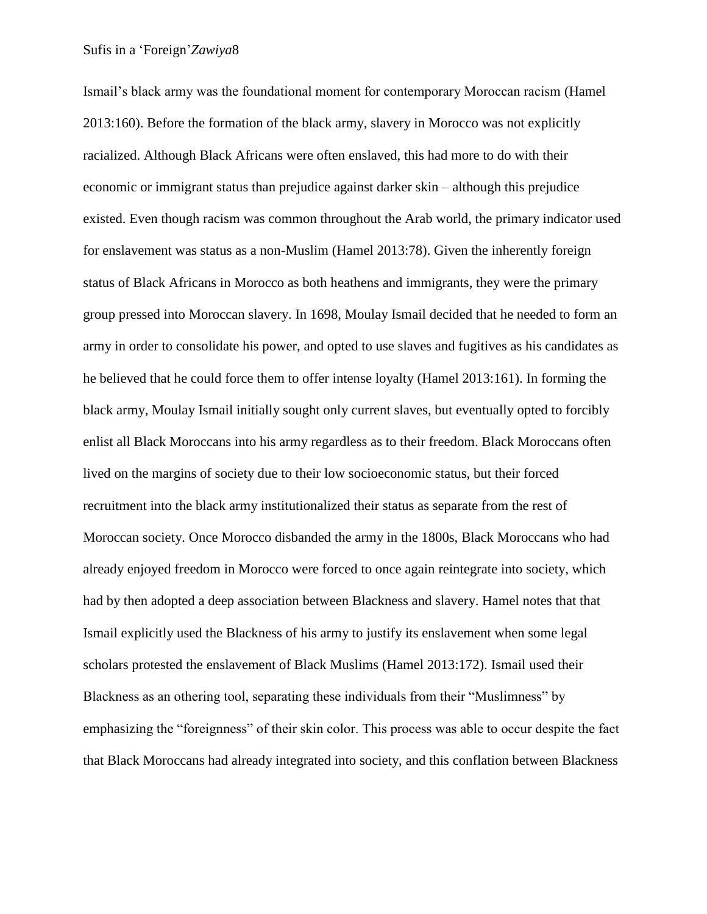Ismail's black army was the foundational moment for contemporary Moroccan racism (Hamel 2013:160). Before the formation of the black army, slavery in Morocco was not explicitly racialized. Although Black Africans were often enslaved, this had more to do with their economic or immigrant status than prejudice against darker skin – although this prejudice existed. Even though racism was common throughout the Arab world, the primary indicator used for enslavement was status as a non-Muslim (Hamel 2013:78). Given the inherently foreign status of Black Africans in Morocco as both heathens and immigrants, they were the primary group pressed into Moroccan slavery. In 1698, Moulay Ismail decided that he needed to form an army in order to consolidate his power, and opted to use slaves and fugitives as his candidates as he believed that he could force them to offer intense loyalty (Hamel 2013:161). In forming the black army, Moulay Ismail initially sought only current slaves, but eventually opted to forcibly enlist all Black Moroccans into his army regardless as to their freedom. Black Moroccans often lived on the margins of society due to their low socioeconomic status, but their forced recruitment into the black army institutionalized their status as separate from the rest of Moroccan society. Once Morocco disbanded the army in the 1800s, Black Moroccans who had already enjoyed freedom in Morocco were forced to once again reintegrate into society, which had by then adopted a deep association between Blackness and slavery. Hamel notes that that Ismail explicitly used the Blackness of his army to justify its enslavement when some legal scholars protested the enslavement of Black Muslims (Hamel 2013:172). Ismail used their Blackness as an othering tool, separating these individuals from their "Muslimness" by emphasizing the "foreignness" of their skin color. This process was able to occur despite the fact that Black Moroccans had already integrated into society, and this conflation between Blackness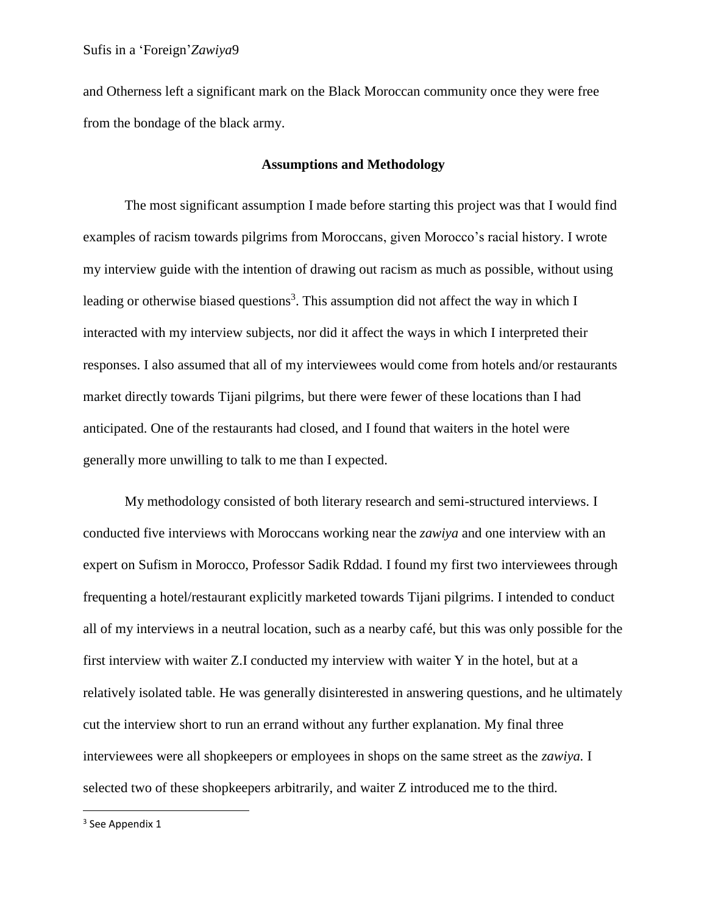and Otherness left a significant mark on the Black Moroccan community once they were free from the bondage of the black army.

#### **Assumptions and Methodology**

The most significant assumption I made before starting this project was that I would find examples of racism towards pilgrims from Moroccans, given Morocco's racial history. I wrote my interview guide with the intention of drawing out racism as much as possible, without using leading or otherwise biased questions<sup>3</sup>. This assumption did not affect the way in which I interacted with my interview subjects, nor did it affect the ways in which I interpreted their responses. I also assumed that all of my interviewees would come from hotels and/or restaurants market directly towards Tijani pilgrims, but there were fewer of these locations than I had anticipated. One of the restaurants had closed, and I found that waiters in the hotel were generally more unwilling to talk to me than I expected.

My methodology consisted of both literary research and semi-structured interviews. I conducted five interviews with Moroccans working near the *zawiya* and one interview with an expert on Sufism in Morocco, Professor Sadik Rddad. I found my first two interviewees through frequenting a hotel/restaurant explicitly marketed towards Tijani pilgrims. I intended to conduct all of my interviews in a neutral location, such as a nearby café, but this was only possible for the first interview with waiter Z.I conducted my interview with waiter Y in the hotel, but at a relatively isolated table. He was generally disinterested in answering questions, and he ultimately cut the interview short to run an errand without any further explanation. My final three interviewees were all shopkeepers or employees in shops on the same street as the *zawiya.* I selected two of these shopkeepers arbitrarily, and waiter Z introduced me to the third.

<sup>3</sup> See Appendix 1

 $\overline{\phantom{a}}$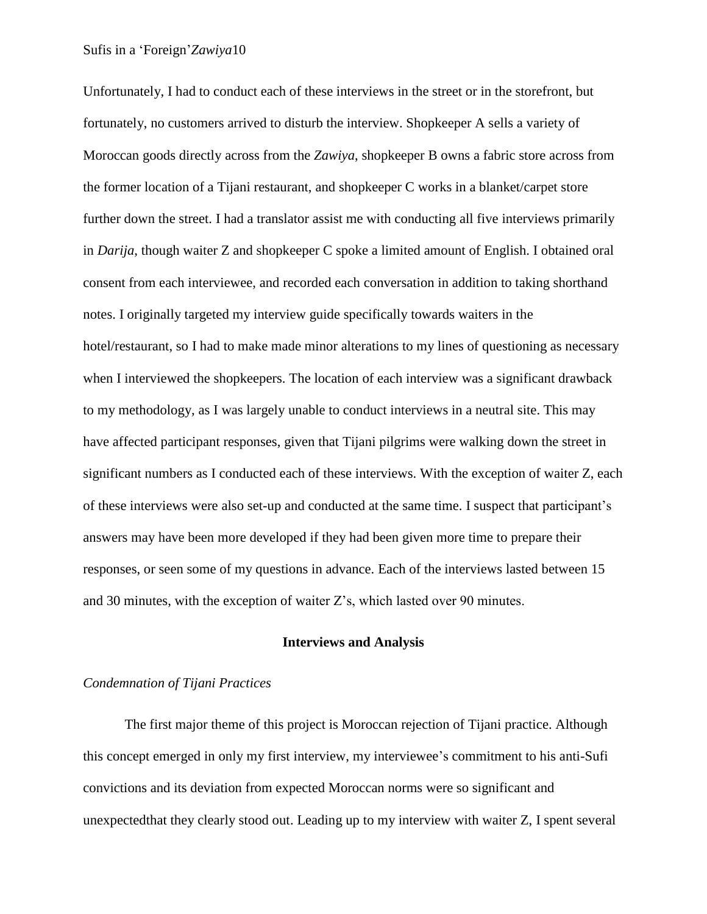Unfortunately, I had to conduct each of these interviews in the street or in the storefront, but fortunately, no customers arrived to disturb the interview. Shopkeeper A sells a variety of Moroccan goods directly across from the *Zawiya*, shopkeeper B owns a fabric store across from the former location of a Tijani restaurant, and shopkeeper C works in a blanket/carpet store further down the street. I had a translator assist me with conducting all five interviews primarily in *Darija*, though waiter Z and shopkeeper C spoke a limited amount of English. I obtained oral consent from each interviewee, and recorded each conversation in addition to taking shorthand notes. I originally targeted my interview guide specifically towards waiters in the hotel/restaurant, so I had to make made minor alterations to my lines of questioning as necessary when I interviewed the shopkeepers. The location of each interview was a significant drawback to my methodology, as I was largely unable to conduct interviews in a neutral site. This may have affected participant responses, given that Tijani pilgrims were walking down the street in significant numbers as I conducted each of these interviews. With the exception of waiter Z, each of these interviews were also set-up and conducted at the same time. I suspect that participant's answers may have been more developed if they had been given more time to prepare their responses, or seen some of my questions in advance. Each of the interviews lasted between 15 and 30 minutes, with the exception of waiter Z's, which lasted over 90 minutes.

#### **Interviews and Analysis**

#### *Condemnation of Tijani Practices*

The first major theme of this project is Moroccan rejection of Tijani practice. Although this concept emerged in only my first interview, my interviewee's commitment to his anti-Sufi convictions and its deviation from expected Moroccan norms were so significant and unexpectedthat they clearly stood out. Leading up to my interview with waiter Z, I spent several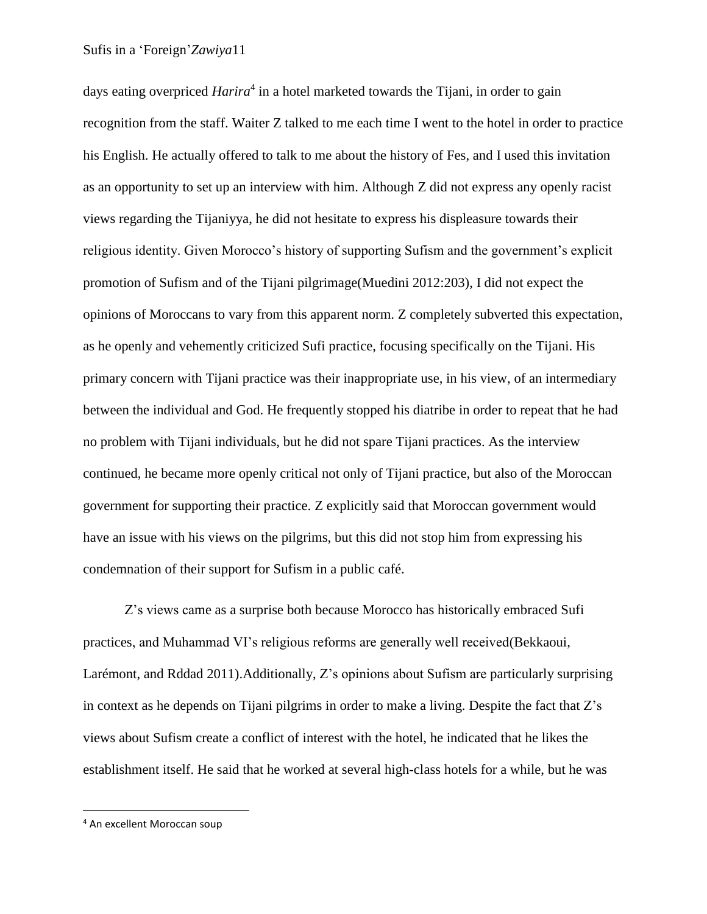days eating overpriced *Harira*<sup>4</sup> in a hotel marketed towards the Tijani, in order to gain recognition from the staff. Waiter Z talked to me each time I went to the hotel in order to practice his English. He actually offered to talk to me about the history of Fes, and I used this invitation as an opportunity to set up an interview with him. Although Z did not express any openly racist views regarding the Tijaniyya, he did not hesitate to express his displeasure towards their religious identity. Given Morocco's history of supporting Sufism and the government's explicit promotion of Sufism and of the Tijani pilgrimage(Muedini 2012:203), I did not expect the opinions of Moroccans to vary from this apparent norm. Z completely subverted this expectation, as he openly and vehemently criticized Sufi practice, focusing specifically on the Tijani. His primary concern with Tijani practice was their inappropriate use, in his view, of an intermediary between the individual and God. He frequently stopped his diatribe in order to repeat that he had no problem with Tijani individuals, but he did not spare Tijani practices. As the interview continued, he became more openly critical not only of Tijani practice, but also of the Moroccan government for supporting their practice. Z explicitly said that Moroccan government would have an issue with his views on the pilgrims, but this did not stop him from expressing his condemnation of their support for Sufism in a public café.

Z's views came as a surprise both because Morocco has historically embraced Sufi practices, and Muhammad VI's religious reforms are generally well received(Bekkaoui, Larémont, and Rddad 2011).Additionally, Z's opinions about Sufism are particularly surprising in context as he depends on Tijani pilgrims in order to make a living. Despite the fact that Z's views about Sufism create a conflict of interest with the hotel, he indicated that he likes the establishment itself. He said that he worked at several high-class hotels for a while, but he was

 $\overline{\phantom{a}}$ 

<sup>4</sup> An excellent Moroccan soup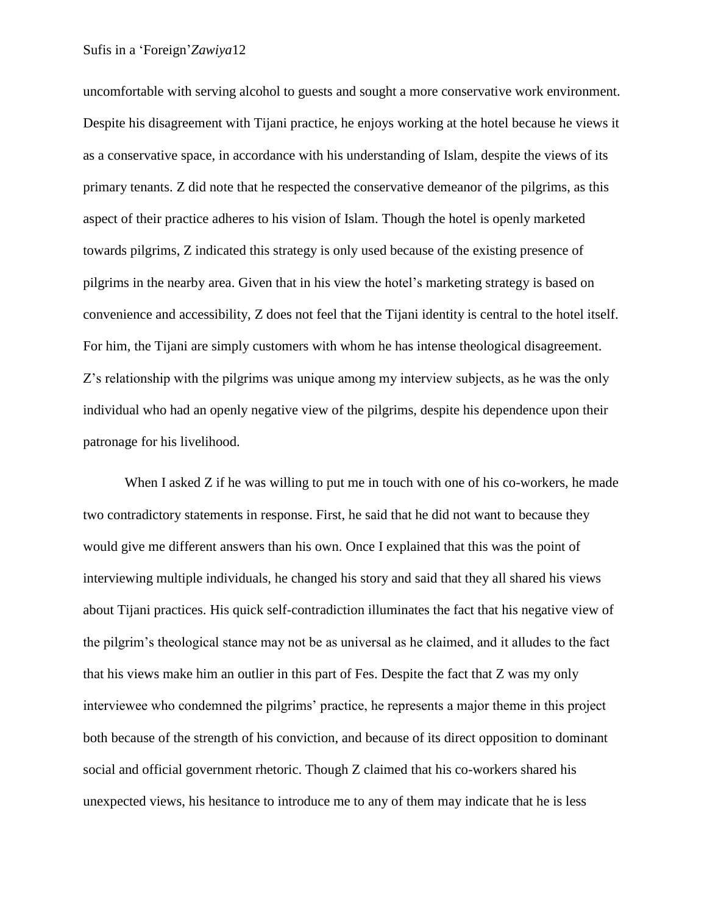uncomfortable with serving alcohol to guests and sought a more conservative work environment. Despite his disagreement with Tijani practice, he enjoys working at the hotel because he views it as a conservative space, in accordance with his understanding of Islam, despite the views of its primary tenants. Z did note that he respected the conservative demeanor of the pilgrims, as this aspect of their practice adheres to his vision of Islam. Though the hotel is openly marketed towards pilgrims, Z indicated this strategy is only used because of the existing presence of pilgrims in the nearby area. Given that in his view the hotel's marketing strategy is based on convenience and accessibility, Z does not feel that the Tijani identity is central to the hotel itself. For him, the Tijani are simply customers with whom he has intense theological disagreement. Z's relationship with the pilgrims was unique among my interview subjects, as he was the only individual who had an openly negative view of the pilgrims, despite his dependence upon their patronage for his livelihood.

When I asked Z if he was willing to put me in touch with one of his co-workers, he made two contradictory statements in response. First, he said that he did not want to because they would give me different answers than his own. Once I explained that this was the point of interviewing multiple individuals, he changed his story and said that they all shared his views about Tijani practices. His quick self-contradiction illuminates the fact that his negative view of the pilgrim's theological stance may not be as universal as he claimed, and it alludes to the fact that his views make him an outlier in this part of Fes. Despite the fact that Z was my only interviewee who condemned the pilgrims' practice, he represents a major theme in this project both because of the strength of his conviction, and because of its direct opposition to dominant social and official government rhetoric. Though Z claimed that his co-workers shared his unexpected views, his hesitance to introduce me to any of them may indicate that he is less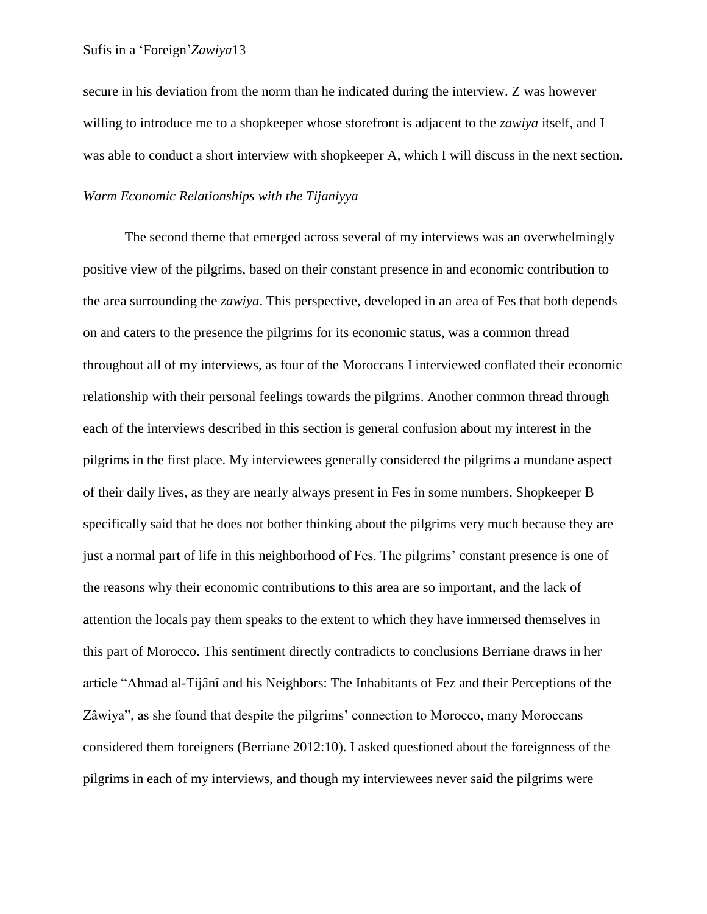secure in his deviation from the norm than he indicated during the interview. Z was however willing to introduce me to a shopkeeper whose storefront is adjacent to the *zawiya* itself, and I was able to conduct a short interview with shopkeeper A, which I will discuss in the next section.

## *Warm Economic Relationships with the Tijaniyya*

The second theme that emerged across several of my interviews was an overwhelmingly positive view of the pilgrims, based on their constant presence in and economic contribution to the area surrounding the *zawiya*. This perspective, developed in an area of Fes that both depends on and caters to the presence the pilgrims for its economic status, was a common thread throughout all of my interviews, as four of the Moroccans I interviewed conflated their economic relationship with their personal feelings towards the pilgrims. Another common thread through each of the interviews described in this section is general confusion about my interest in the pilgrims in the first place. My interviewees generally considered the pilgrims a mundane aspect of their daily lives, as they are nearly always present in Fes in some numbers. Shopkeeper B specifically said that he does not bother thinking about the pilgrims very much because they are just a normal part of life in this neighborhood of Fes. The pilgrims' constant presence is one of the reasons why their economic contributions to this area are so important, and the lack of attention the locals pay them speaks to the extent to which they have immersed themselves in this part of Morocco. This sentiment directly contradicts to conclusions Berriane draws in her article "Ahmad al-Tijânî and his Neighbors: The Inhabitants of Fez and their Perceptions of the Zâwiya", as she found that despite the pilgrims' connection to Morocco, many Moroccans considered them foreigners (Berriane 2012:10). I asked questioned about the foreignness of the pilgrims in each of my interviews, and though my interviewees never said the pilgrims were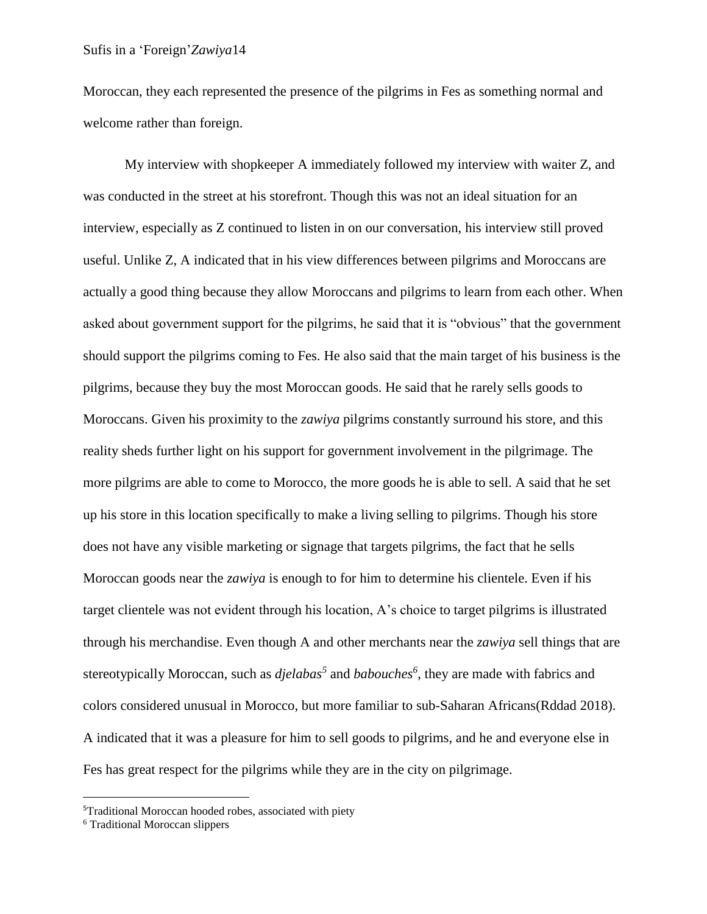Moroccan, they each represented the presence of the pilgrims in Fes as something normal and welcome rather than foreign.

My interview with shopkeeper A immediately followed my interview with waiter Z, and was conducted in the street at his storefront. Though this was not an ideal situation for an interview, especially as Z continued to listen in on our conversation, his interview still proved useful. Unlike Z, A indicated that in his view differences between pilgrims and Moroccans are actually a good thing because they allow Moroccans and pilgrims to learn from each other. When asked about government support for the pilgrims, he said that it is "obvious" that the government should support the pilgrims coming to Fes. He also said that the main target of his business is the pilgrims, because they buy the most Moroccan goods. He said that he rarely sells goods to Moroccans. Given his proximity to the *zawiya* pilgrims constantly surround his store, and this reality sheds further light on his support for government involvement in the pilgrimage. The more pilgrims are able to come to Morocco, the more goods he is able to sell. A said that he set up his store in this location specifically to make a living selling to pilgrims. Though his store does not have any visible marketing or signage that targets pilgrims, the fact that he sells Moroccan goods near the *zawiya* is enough to for him to determine his clientele. Even if his target clientele was not evident through his location, A's choice to target pilgrims is illustrated through his merchandise. Even though A and other merchants near the *zawiya* sell things that are stereotypically Moroccan, such as *djelabas<sup>5</sup>* and *babouches<sup>6</sup>* , they are made with fabrics and colors considered unusual in Morocco, but more familiar to sub-Saharan Africans(Rddad 2018). A indicated that it was a pleasure for him to sell goods to pilgrims, and he and everyone else in Fes has great respect for the pilgrims while they are in the city on pilgrimage.

l

<sup>5</sup>Traditional Moroccan hooded robes, associated with piety

<sup>6</sup> Traditional Moroccan slippers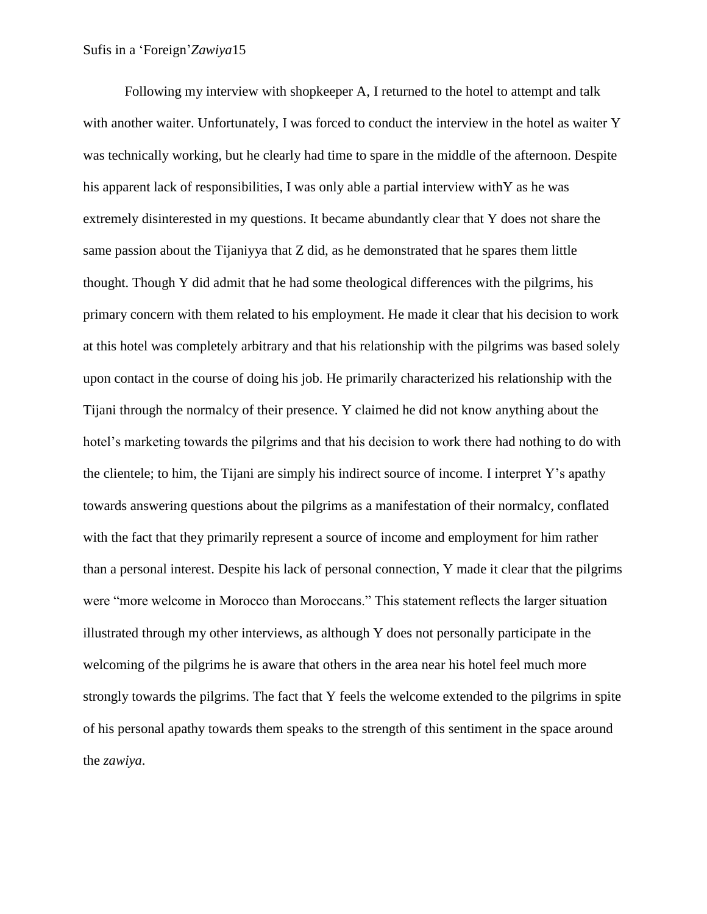Following my interview with shopkeeper A, I returned to the hotel to attempt and talk with another waiter. Unfortunately, I was forced to conduct the interview in the hotel as waiter Y was technically working, but he clearly had time to spare in the middle of the afternoon. Despite his apparent lack of responsibilities, I was only able a partial interview withY as he was extremely disinterested in my questions. It became abundantly clear that Y does not share the same passion about the Tijaniyya that Z did, as he demonstrated that he spares them little thought. Though Y did admit that he had some theological differences with the pilgrims, his primary concern with them related to his employment. He made it clear that his decision to work at this hotel was completely arbitrary and that his relationship with the pilgrims was based solely upon contact in the course of doing his job. He primarily characterized his relationship with the Tijani through the normalcy of their presence. Y claimed he did not know anything about the hotel's marketing towards the pilgrims and that his decision to work there had nothing to do with the clientele; to him, the Tijani are simply his indirect source of income. I interpret Y's apathy towards answering questions about the pilgrims as a manifestation of their normalcy, conflated with the fact that they primarily represent a source of income and employment for him rather than a personal interest. Despite his lack of personal connection, Y made it clear that the pilgrims were "more welcome in Morocco than Moroccans." This statement reflects the larger situation illustrated through my other interviews, as although Y does not personally participate in the welcoming of the pilgrims he is aware that others in the area near his hotel feel much more strongly towards the pilgrims. The fact that Y feels the welcome extended to the pilgrims in spite of his personal apathy towards them speaks to the strength of this sentiment in the space around the *zawiya*.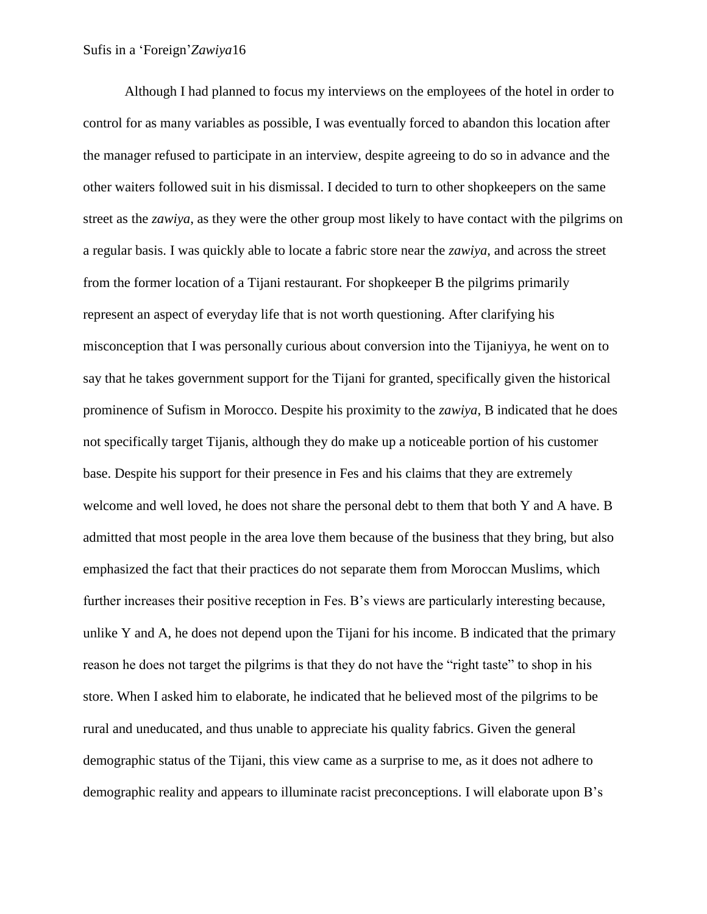Although I had planned to focus my interviews on the employees of the hotel in order to control for as many variables as possible, I was eventually forced to abandon this location after the manager refused to participate in an interview, despite agreeing to do so in advance and the other waiters followed suit in his dismissal. I decided to turn to other shopkeepers on the same street as the *zawiya*, as they were the other group most likely to have contact with the pilgrims on a regular basis. I was quickly able to locate a fabric store near the *zawiya*, and across the street from the former location of a Tijani restaurant. For shopkeeper B the pilgrims primarily represent an aspect of everyday life that is not worth questioning. After clarifying his misconception that I was personally curious about conversion into the Tijaniyya, he went on to say that he takes government support for the Tijani for granted, specifically given the historical prominence of Sufism in Morocco. Despite his proximity to the *zawiya*, B indicated that he does not specifically target Tijanis, although they do make up a noticeable portion of his customer base. Despite his support for their presence in Fes and his claims that they are extremely welcome and well loved, he does not share the personal debt to them that both Y and A have. B admitted that most people in the area love them because of the business that they bring, but also emphasized the fact that their practices do not separate them from Moroccan Muslims, which further increases their positive reception in Fes. B's views are particularly interesting because, unlike Y and A, he does not depend upon the Tijani for his income. B indicated that the primary reason he does not target the pilgrims is that they do not have the "right taste" to shop in his store. When I asked him to elaborate, he indicated that he believed most of the pilgrims to be rural and uneducated, and thus unable to appreciate his quality fabrics. Given the general demographic status of the Tijani, this view came as a surprise to me, as it does not adhere to demographic reality and appears to illuminate racist preconceptions. I will elaborate upon B's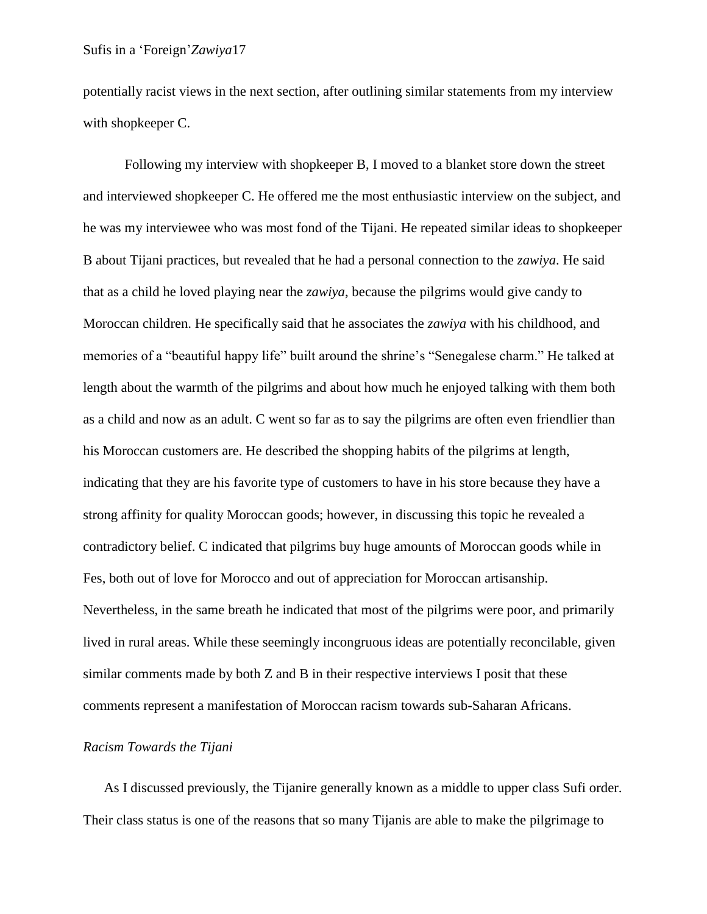potentially racist views in the next section, after outlining similar statements from my interview with shopkeeper C.

Following my interview with shopkeeper B, I moved to a blanket store down the street and interviewed shopkeeper C. He offered me the most enthusiastic interview on the subject, and he was my interviewee who was most fond of the Tijani. He repeated similar ideas to shopkeeper B about Tijani practices, but revealed that he had a personal connection to the *zawiya*. He said that as a child he loved playing near the *zawiya*, because the pilgrims would give candy to Moroccan children. He specifically said that he associates the *zawiya* with his childhood, and memories of a "beautiful happy life" built around the shrine's "Senegalese charm." He talked at length about the warmth of the pilgrims and about how much he enjoyed talking with them both as a child and now as an adult. C went so far as to say the pilgrims are often even friendlier than his Moroccan customers are. He described the shopping habits of the pilgrims at length, indicating that they are his favorite type of customers to have in his store because they have a strong affinity for quality Moroccan goods; however, in discussing this topic he revealed a contradictory belief. C indicated that pilgrims buy huge amounts of Moroccan goods while in Fes, both out of love for Morocco and out of appreciation for Moroccan artisanship. Nevertheless, in the same breath he indicated that most of the pilgrims were poor, and primarily lived in rural areas. While these seemingly incongruous ideas are potentially reconcilable, given similar comments made by both Z and B in their respective interviews I posit that these comments represent a manifestation of Moroccan racism towards sub-Saharan Africans.

#### *Racism Towards the Tijani*

As I discussed previously, the Tijanire generally known as a middle to upper class Sufi order. Their class status is one of the reasons that so many Tijanis are able to make the pilgrimage to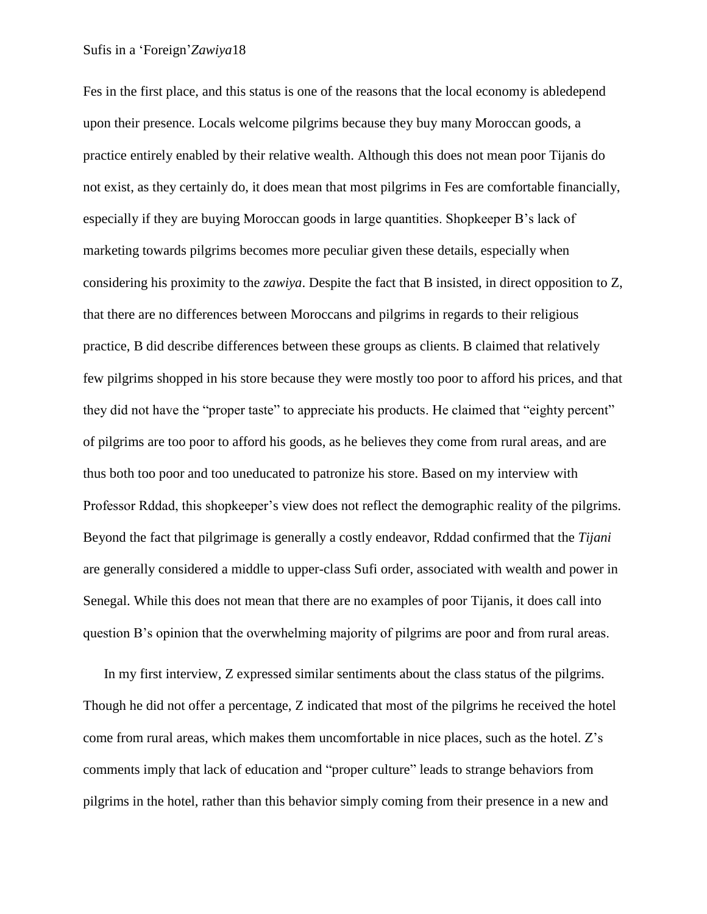Fes in the first place, and this status is one of the reasons that the local economy is abledepend upon their presence. Locals welcome pilgrims because they buy many Moroccan goods, a practice entirely enabled by their relative wealth. Although this does not mean poor Tijanis do not exist, as they certainly do, it does mean that most pilgrims in Fes are comfortable financially, especially if they are buying Moroccan goods in large quantities. Shopkeeper B's lack of marketing towards pilgrims becomes more peculiar given these details, especially when considering his proximity to the *zawiya*. Despite the fact that B insisted, in direct opposition to Z, that there are no differences between Moroccans and pilgrims in regards to their religious practice, B did describe differences between these groups as clients. B claimed that relatively few pilgrims shopped in his store because they were mostly too poor to afford his prices, and that they did not have the "proper taste" to appreciate his products. He claimed that "eighty percent" of pilgrims are too poor to afford his goods, as he believes they come from rural areas, and are thus both too poor and too uneducated to patronize his store. Based on my interview with Professor Rddad, this shopkeeper's view does not reflect the demographic reality of the pilgrims. Beyond the fact that pilgrimage is generally a costly endeavor, Rddad confirmed that the *Tijani* are generally considered a middle to upper-class Sufi order, associated with wealth and power in Senegal. While this does not mean that there are no examples of poor Tijanis, it does call into question B's opinion that the overwhelming majority of pilgrims are poor and from rural areas.

In my first interview, Z expressed similar sentiments about the class status of the pilgrims. Though he did not offer a percentage, Z indicated that most of the pilgrims he received the hotel come from rural areas, which makes them uncomfortable in nice places, such as the hotel. Z's comments imply that lack of education and "proper culture" leads to strange behaviors from pilgrims in the hotel, rather than this behavior simply coming from their presence in a new and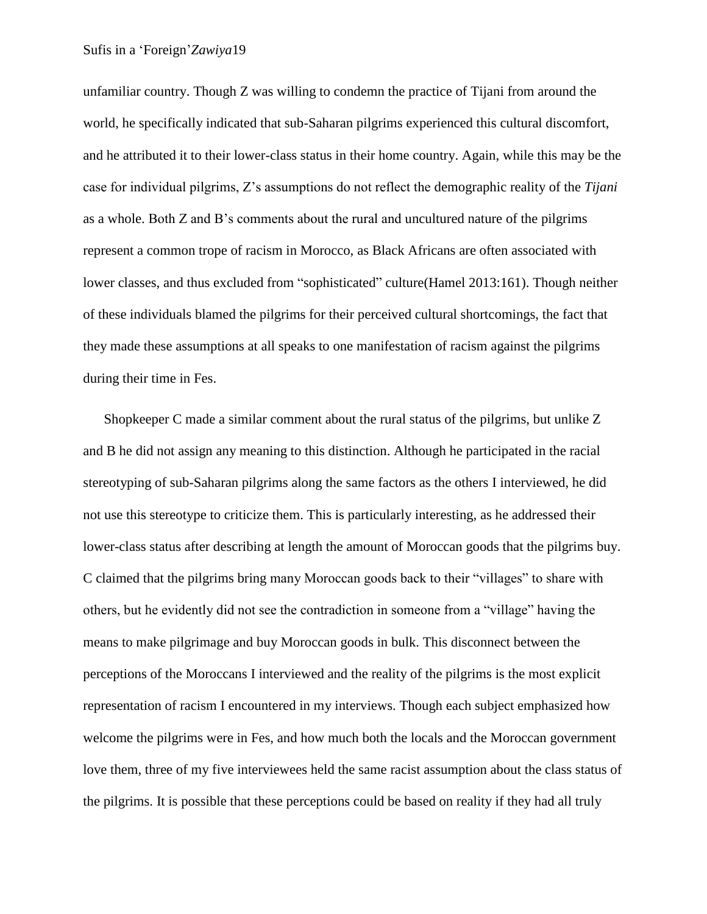unfamiliar country. Though Z was willing to condemn the practice of Tijani from around the world, he specifically indicated that sub-Saharan pilgrims experienced this cultural discomfort, and he attributed it to their lower-class status in their home country. Again, while this may be the case for individual pilgrims, Z's assumptions do not reflect the demographic reality of the *Tijani* as a whole. Both Z and B's comments about the rural and uncultured nature of the pilgrims represent a common trope of racism in Morocco, as Black Africans are often associated with lower classes, and thus excluded from "sophisticated" culture(Hamel 2013:161). Though neither of these individuals blamed the pilgrims for their perceived cultural shortcomings, the fact that they made these assumptions at all speaks to one manifestation of racism against the pilgrims during their time in Fes.

Shopkeeper C made a similar comment about the rural status of the pilgrims, but unlike Z and B he did not assign any meaning to this distinction. Although he participated in the racial stereotyping of sub-Saharan pilgrims along the same factors as the others I interviewed, he did not use this stereotype to criticize them. This is particularly interesting, as he addressed their lower-class status after describing at length the amount of Moroccan goods that the pilgrims buy. C claimed that the pilgrims bring many Moroccan goods back to their "villages" to share with others, but he evidently did not see the contradiction in someone from a "village" having the means to make pilgrimage and buy Moroccan goods in bulk. This disconnect between the perceptions of the Moroccans I interviewed and the reality of the pilgrims is the most explicit representation of racism I encountered in my interviews. Though each subject emphasized how welcome the pilgrims were in Fes, and how much both the locals and the Moroccan government love them, three of my five interviewees held the same racist assumption about the class status of the pilgrims. It is possible that these perceptions could be based on reality if they had all truly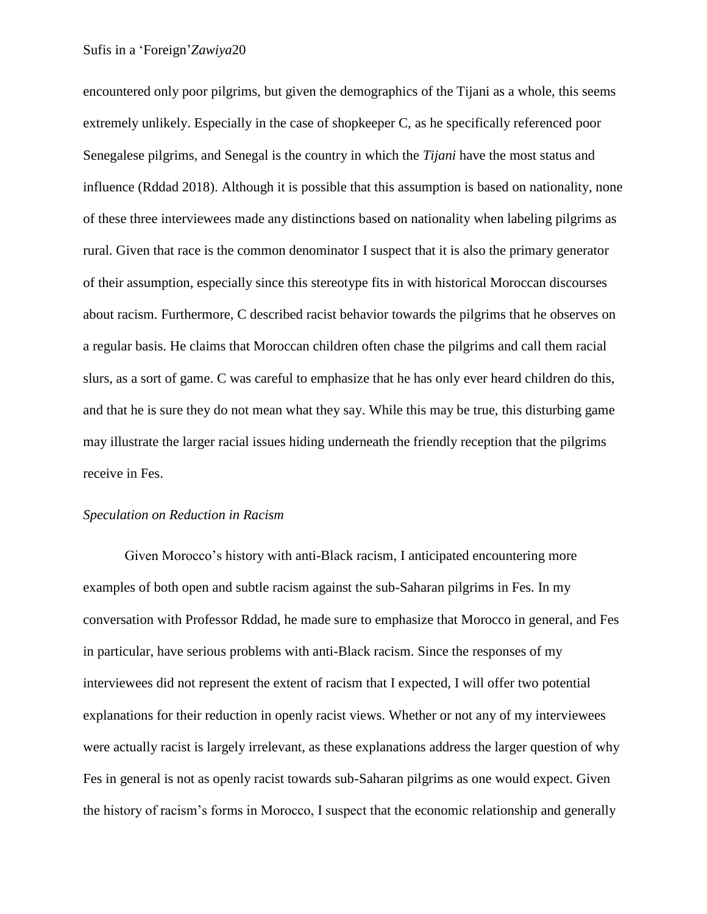encountered only poor pilgrims, but given the demographics of the Tijani as a whole, this seems extremely unlikely. Especially in the case of shopkeeper C, as he specifically referenced poor Senegalese pilgrims, and Senegal is the country in which the *Tijani* have the most status and influence (Rddad 2018). Although it is possible that this assumption is based on nationality, none of these three interviewees made any distinctions based on nationality when labeling pilgrims as rural. Given that race is the common denominator I suspect that it is also the primary generator of their assumption, especially since this stereotype fits in with historical Moroccan discourses about racism. Furthermore, C described racist behavior towards the pilgrims that he observes on a regular basis. He claims that Moroccan children often chase the pilgrims and call them racial slurs, as a sort of game. C was careful to emphasize that he has only ever heard children do this, and that he is sure they do not mean what they say. While this may be true, this disturbing game may illustrate the larger racial issues hiding underneath the friendly reception that the pilgrims receive in Fes.

#### *Speculation on Reduction in Racism*

Given Morocco's history with anti-Black racism, I anticipated encountering more examples of both open and subtle racism against the sub-Saharan pilgrims in Fes. In my conversation with Professor Rddad, he made sure to emphasize that Morocco in general, and Fes in particular, have serious problems with anti-Black racism. Since the responses of my interviewees did not represent the extent of racism that I expected, I will offer two potential explanations for their reduction in openly racist views. Whether or not any of my interviewees were actually racist is largely irrelevant, as these explanations address the larger question of why Fes in general is not as openly racist towards sub-Saharan pilgrims as one would expect. Given the history of racism's forms in Morocco, I suspect that the economic relationship and generally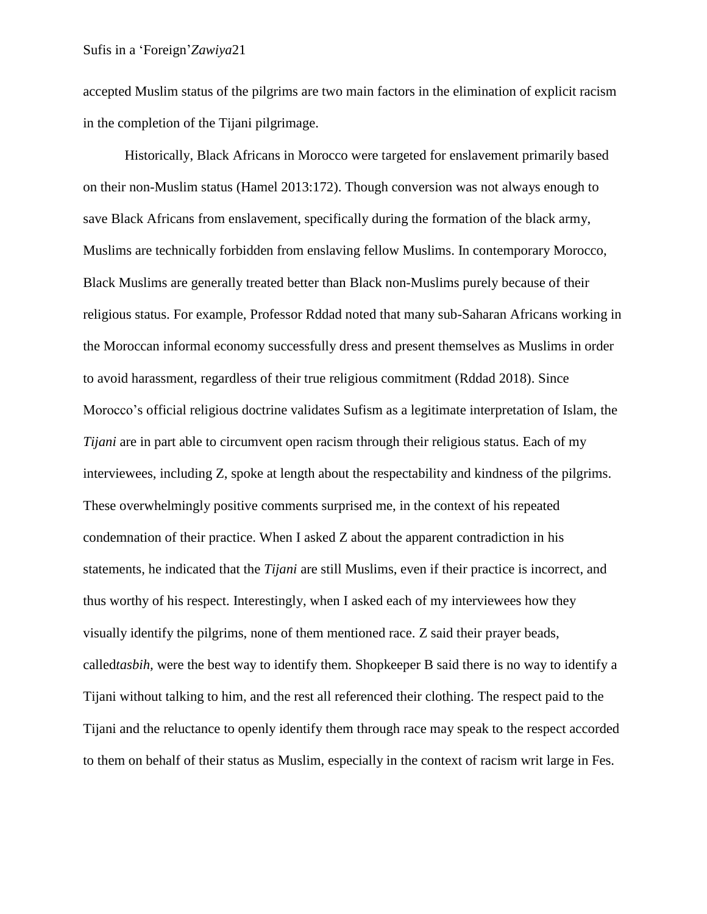accepted Muslim status of the pilgrims are two main factors in the elimination of explicit racism in the completion of the Tijani pilgrimage.

Historically, Black Africans in Morocco were targeted for enslavement primarily based on their non-Muslim status (Hamel 2013:172). Though conversion was not always enough to save Black Africans from enslavement, specifically during the formation of the black army, Muslims are technically forbidden from enslaving fellow Muslims. In contemporary Morocco, Black Muslims are generally treated better than Black non-Muslims purely because of their religious status. For example, Professor Rddad noted that many sub-Saharan Africans working in the Moroccan informal economy successfully dress and present themselves as Muslims in order to avoid harassment, regardless of their true religious commitment (Rddad 2018). Since Morocco's official religious doctrine validates Sufism as a legitimate interpretation of Islam, the *Tijani* are in part able to circumvent open racism through their religious status. Each of my interviewees, including Z, spoke at length about the respectability and kindness of the pilgrims. These overwhelmingly positive comments surprised me, in the context of his repeated condemnation of their practice. When I asked Z about the apparent contradiction in his statements, he indicated that the *Tijani* are still Muslims, even if their practice is incorrect, and thus worthy of his respect. Interestingly, when I asked each of my interviewees how they visually identify the pilgrims, none of them mentioned race. Z said their prayer beads, called*tasbih,* were the best way to identify them. Shopkeeper B said there is no way to identify a Tijani without talking to him, and the rest all referenced their clothing. The respect paid to the Tijani and the reluctance to openly identify them through race may speak to the respect accorded to them on behalf of their status as Muslim, especially in the context of racism writ large in Fes.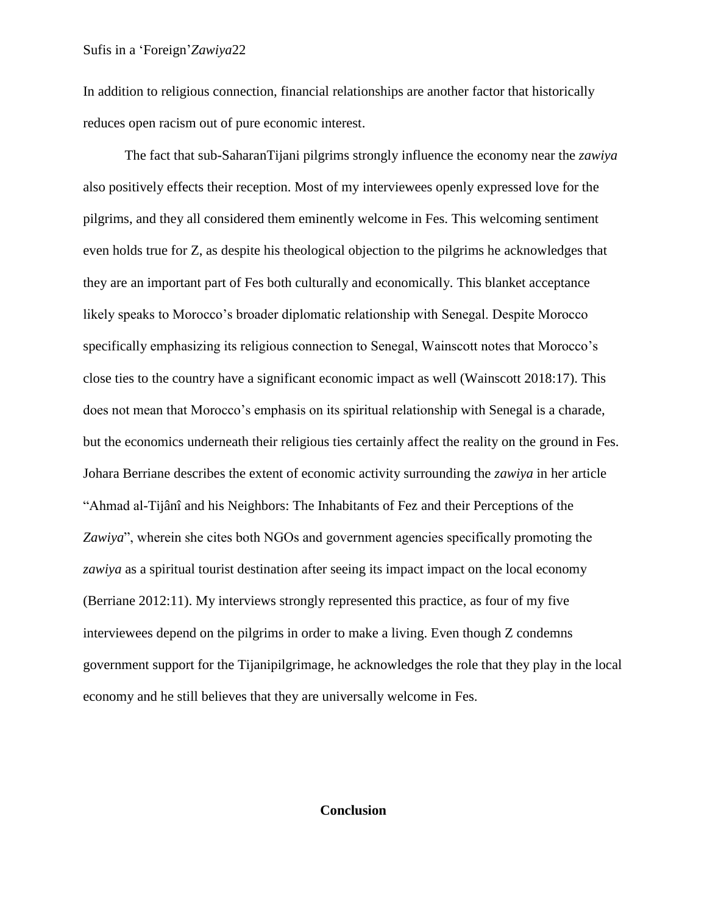In addition to religious connection, financial relationships are another factor that historically reduces open racism out of pure economic interest.

The fact that sub-SaharanTijani pilgrims strongly influence the economy near the *zawiya* also positively effects their reception. Most of my interviewees openly expressed love for the pilgrims, and they all considered them eminently welcome in Fes. This welcoming sentiment even holds true for Z, as despite his theological objection to the pilgrims he acknowledges that they are an important part of Fes both culturally and economically. This blanket acceptance likely speaks to Morocco's broader diplomatic relationship with Senegal. Despite Morocco specifically emphasizing its religious connection to Senegal, Wainscott notes that Morocco's close ties to the country have a significant economic impact as well (Wainscott 2018:17). This does not mean that Morocco's emphasis on its spiritual relationship with Senegal is a charade, but the economics underneath their religious ties certainly affect the reality on the ground in Fes. Johara Berriane describes the extent of economic activity surrounding the *zawiya* in her article "Ahmad al-Tijânî and his Neighbors: The Inhabitants of Fez and their Perceptions of the Zawiya", wherein she cites both NGOs and government agencies specifically promoting the *zawiya* as a spiritual tourist destination after seeing its impact impact on the local economy (Berriane 2012:11). My interviews strongly represented this practice, as four of my five interviewees depend on the pilgrims in order to make a living. Even though Z condemns government support for the Tijanipilgrimage, he acknowledges the role that they play in the local economy and he still believes that they are universally welcome in Fes.

#### **Conclusion**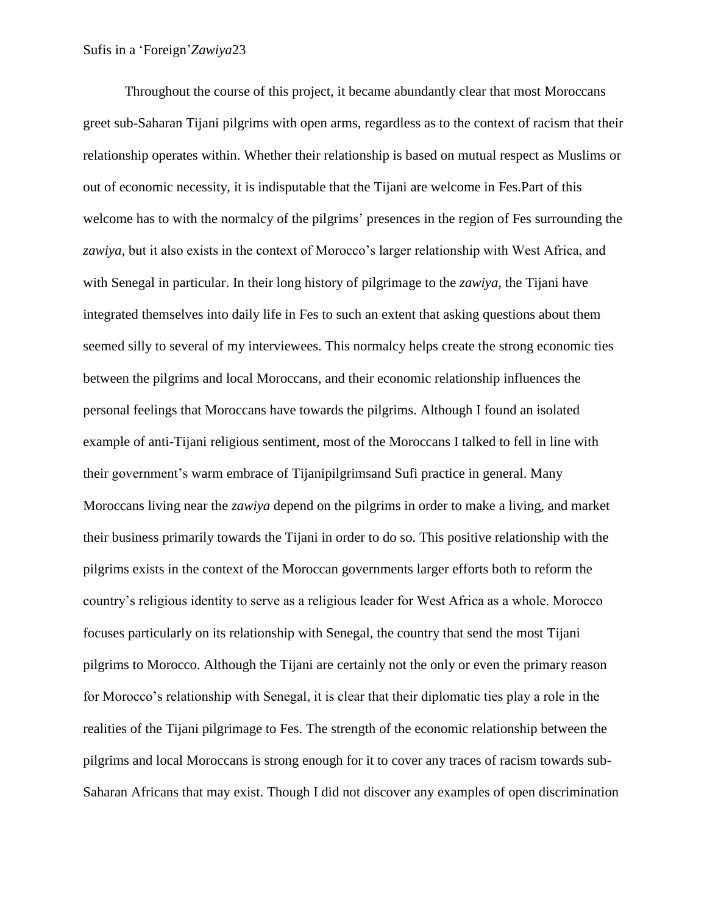Throughout the course of this project, it became abundantly clear that most Moroccans greet sub-Saharan Tijani pilgrims with open arms, regardless as to the context of racism that their relationship operates within. Whether their relationship is based on mutual respect as Muslims or out of economic necessity, it is indisputable that the Tijani are welcome in Fes.Part of this welcome has to with the normalcy of the pilgrims' presences in the region of Fes surrounding the *zawiya,* but it also exists in the context of Morocco's larger relationship with West Africa, and with Senegal in particular. In their long history of pilgrimage to the *zawiya,* the Tijani have integrated themselves into daily life in Fes to such an extent that asking questions about them seemed silly to several of my interviewees. This normalcy helps create the strong economic ties between the pilgrims and local Moroccans, and their economic relationship influences the personal feelings that Moroccans have towards the pilgrims. Although I found an isolated example of anti-Tijani religious sentiment, most of the Moroccans I talked to fell in line with their government's warm embrace of Tijanipilgrimsand Sufi practice in general. Many Moroccans living near the *zawiya* depend on the pilgrims in order to make a living, and market their business primarily towards the Tijani in order to do so. This positive relationship with the pilgrims exists in the context of the Moroccan governments larger efforts both to reform the country's religious identity to serve as a religious leader for West Africa as a whole. Morocco focuses particularly on its relationship with Senegal, the country that send the most Tijani pilgrims to Morocco. Although the Tijani are certainly not the only or even the primary reason for Morocco's relationship with Senegal, it is clear that their diplomatic ties play a role in the realities of the Tijani pilgrimage to Fes. The strength of the economic relationship between the pilgrims and local Moroccans is strong enough for it to cover any traces of racism towards sub-Saharan Africans that may exist. Though I did not discover any examples of open discrimination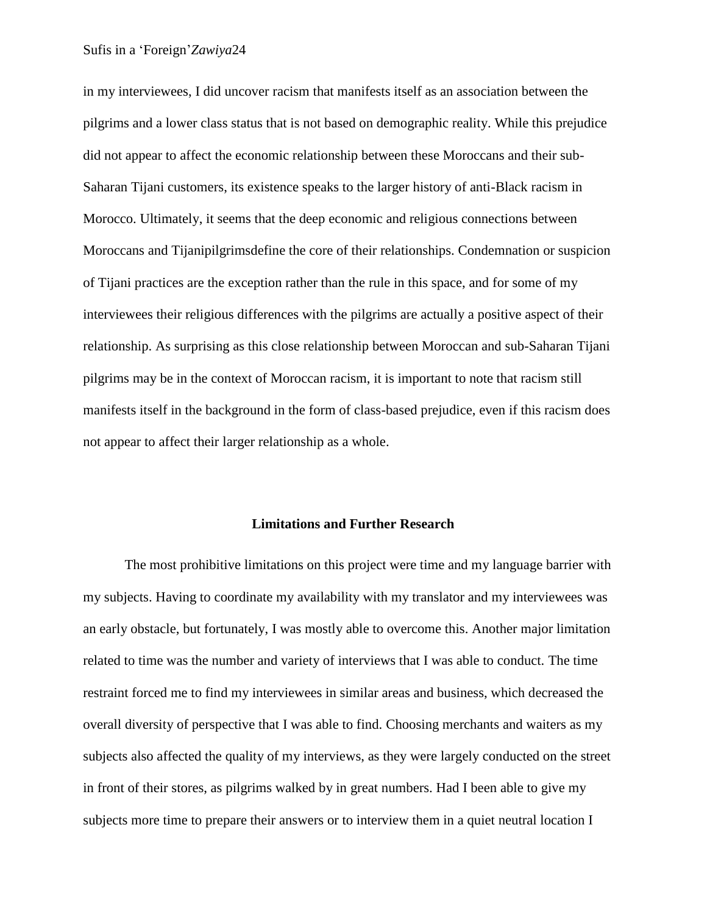in my interviewees, I did uncover racism that manifests itself as an association between the pilgrims and a lower class status that is not based on demographic reality. While this prejudice did not appear to affect the economic relationship between these Moroccans and their sub-Saharan Tijani customers, its existence speaks to the larger history of anti-Black racism in Morocco. Ultimately, it seems that the deep economic and religious connections between Moroccans and Tijanipilgrimsdefine the core of their relationships. Condemnation or suspicion of Tijani practices are the exception rather than the rule in this space, and for some of my interviewees their religious differences with the pilgrims are actually a positive aspect of their relationship. As surprising as this close relationship between Moroccan and sub-Saharan Tijani pilgrims may be in the context of Moroccan racism, it is important to note that racism still manifests itself in the background in the form of class-based prejudice, even if this racism does not appear to affect their larger relationship as a whole.

#### **Limitations and Further Research**

The most prohibitive limitations on this project were time and my language barrier with my subjects. Having to coordinate my availability with my translator and my interviewees was an early obstacle, but fortunately, I was mostly able to overcome this. Another major limitation related to time was the number and variety of interviews that I was able to conduct. The time restraint forced me to find my interviewees in similar areas and business, which decreased the overall diversity of perspective that I was able to find. Choosing merchants and waiters as my subjects also affected the quality of my interviews, as they were largely conducted on the street in front of their stores, as pilgrims walked by in great numbers. Had I been able to give my subjects more time to prepare their answers or to interview them in a quiet neutral location I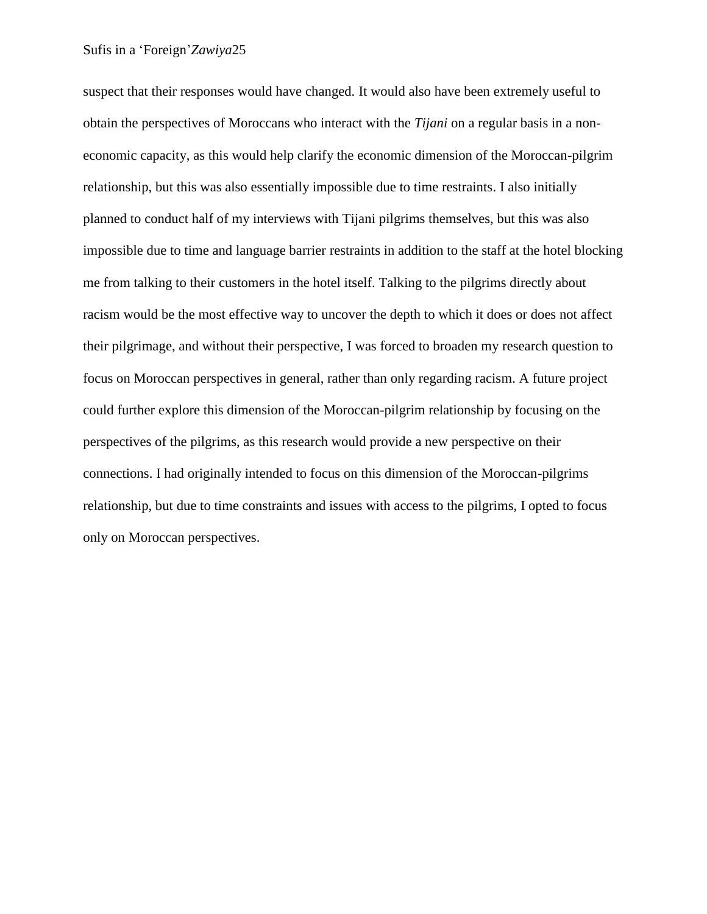suspect that their responses would have changed. It would also have been extremely useful to obtain the perspectives of Moroccans who interact with the *Tijani* on a regular basis in a noneconomic capacity, as this would help clarify the economic dimension of the Moroccan-pilgrim relationship, but this was also essentially impossible due to time restraints. I also initially planned to conduct half of my interviews with Tijani pilgrims themselves, but this was also impossible due to time and language barrier restraints in addition to the staff at the hotel blocking me from talking to their customers in the hotel itself. Talking to the pilgrims directly about racism would be the most effective way to uncover the depth to which it does or does not affect their pilgrimage, and without their perspective, I was forced to broaden my research question to focus on Moroccan perspectives in general, rather than only regarding racism. A future project could further explore this dimension of the Moroccan-pilgrim relationship by focusing on the perspectives of the pilgrims, as this research would provide a new perspective on their connections. I had originally intended to focus on this dimension of the Moroccan-pilgrims relationship, but due to time constraints and issues with access to the pilgrims, I opted to focus only on Moroccan perspectives.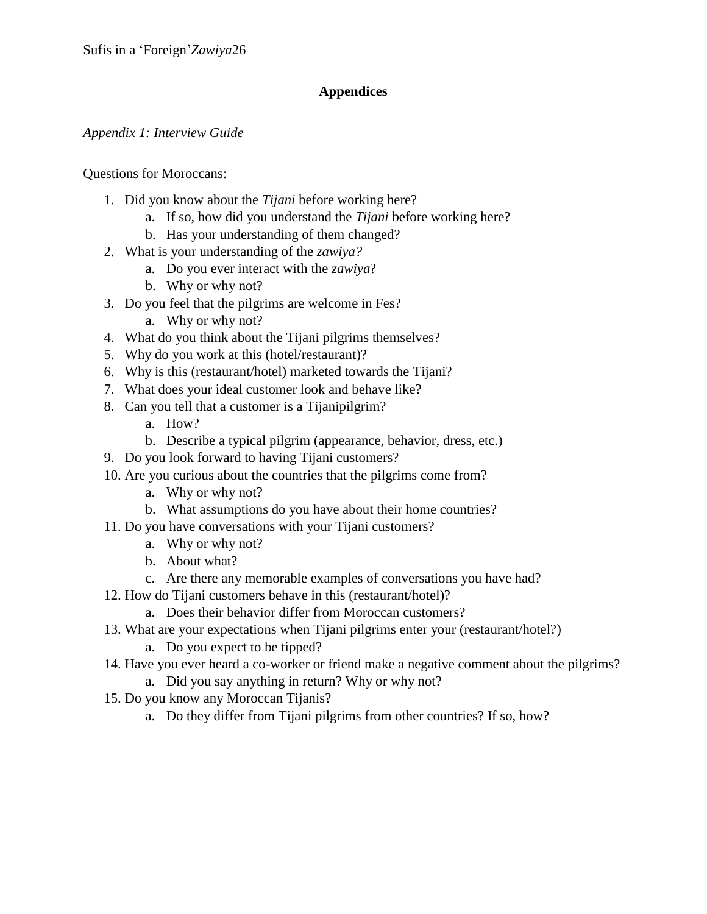# **Appendices**

# *Appendix 1: Interview Guide*

Questions for Moroccans:

- 1. Did you know about the *Tijani* before working here?
	- a. If so, how did you understand the *Tijani* before working here?
	- b. Has your understanding of them changed?
- 2. What is your understanding of the *zawiya?*
	- a. Do you ever interact with the *zawiya*?
	- b. Why or why not?
- 3. Do you feel that the pilgrims are welcome in Fes?
	- a. Why or why not?
- 4. What do you think about the Tijani pilgrims themselves?
- 5. Why do you work at this (hotel/restaurant)?
- 6. Why is this (restaurant/hotel) marketed towards the Tijani?
- 7. What does your ideal customer look and behave like?
- 8. Can you tell that a customer is a Tijanipilgrim?
	- a. How?
	- b. Describe a typical pilgrim (appearance, behavior, dress, etc.)
- 9. Do you look forward to having Tijani customers?
- 10. Are you curious about the countries that the pilgrims come from?
	- a. Why or why not?
	- b. What assumptions do you have about their home countries?
- 11. Do you have conversations with your Tijani customers?
	- a. Why or why not?
	- b. About what?
	- c. Are there any memorable examples of conversations you have had?
- 12. How do Tijani customers behave in this (restaurant/hotel)?
	- a. Does their behavior differ from Moroccan customers?
- 13. What are your expectations when Tijani pilgrims enter your (restaurant/hotel?)
	- a. Do you expect to be tipped?
- 14. Have you ever heard a co-worker or friend make a negative comment about the pilgrims? a. Did you say anything in return? Why or why not?
- 15. Do you know any Moroccan Tijanis?
	- a. Do they differ from Tijani pilgrims from other countries? If so, how?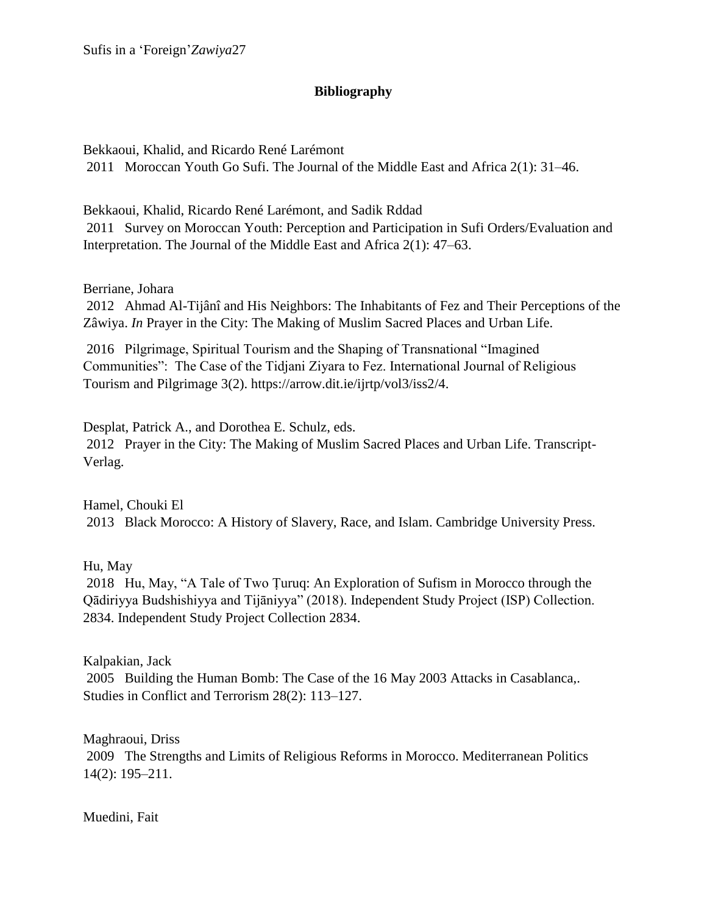# **Bibliography**

Bekkaoui, Khalid, and Ricardo René Larémont 2011 Moroccan Youth Go Sufi. The Journal of the Middle East and Africa 2(1): 31–46.

Bekkaoui, Khalid, Ricardo René Larémont, and Sadik Rddad 2011 Survey on Moroccan Youth: Perception and Participation in Sufi Orders/Evaluation and Interpretation. The Journal of the Middle East and Africa 2(1): 47–63.

Berriane, Johara

2012 Ahmad Al-Tijânî and His Neighbors: The Inhabitants of Fez and Their Perceptions of the Zâwiya. *In* Prayer in the City: The Making of Muslim Sacred Places and Urban Life.

2016 Pilgrimage, Spiritual Tourism and the Shaping of Transnational "Imagined Communities": The Case of the Tidjani Ziyara to Fez. International Journal of Religious Tourism and Pilgrimage 3(2). https://arrow.dit.ie/ijrtp/vol3/iss2/4.

Desplat, Patrick A., and Dorothea E. Schulz, eds. 2012 Prayer in the City: The Making of Muslim Sacred Places and Urban Life. Transcript-Verlag.

Hamel, Chouki El 2013 Black Morocco: A History of Slavery, Race, and Islam. Cambridge University Press.

Hu, May

2018 Hu, May, "A Tale of Two Ṭuruq: An Exploration of Sufism in Morocco through the Qādiriyya Budshishiyya and Tijāniyya" (2018). Independent Study Project (ISP) Collection. 2834. Independent Study Project Collection 2834.

Kalpakian, Jack 2005 Building the Human Bomb: The Case of the 16 May 2003 Attacks in Casablanca,. Studies in Conflict and Terrorism 28(2): 113–127.

Maghraoui, Driss 2009 The Strengths and Limits of Religious Reforms in Morocco. Mediterranean Politics 14(2): 195–211.

Muedini, Fait